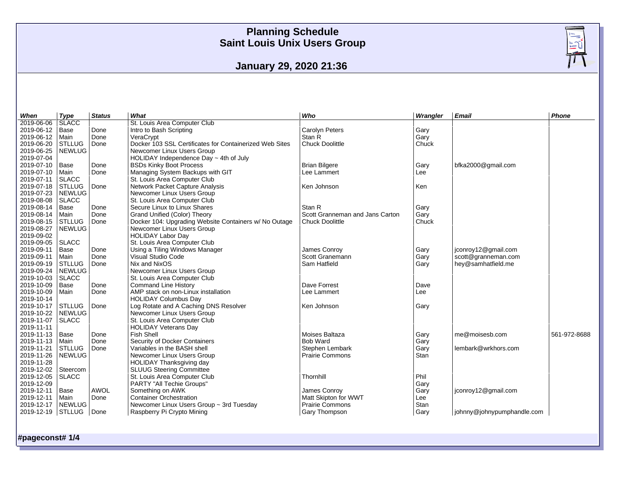**January 29, 2020 21:36**

| When              | Type          | <b>Status</b> | What                                                    | Who                             | Wrangler | Email                          | Phone        |
|-------------------|---------------|---------------|---------------------------------------------------------|---------------------------------|----------|--------------------------------|--------------|
| 2019-06-06        | <b>SLACC</b>  |               | St. Louis Area Computer Club                            |                                 |          |                                |              |
| 2019-06-12        | Base          | Done          | Intro to Bash Scripting                                 | <b>Carolyn Peters</b>           | Gary     |                                |              |
| 2019-06-12        | Main          | Done          | VeraCrypt                                               | Stan R                          | Gary     |                                |              |
| 2019-06-20        | <b>STLLUG</b> | Done          | Docker 103 SSL Certificates for Containerized Web Sites | <b>Chuck Doolittle</b>          | Chuck    |                                |              |
| 2019-06-25        | <b>NEWLUG</b> |               | Newcomer Linux Users Group                              |                                 |          |                                |              |
| 2019-07-04        |               |               | HOLIDAY Independence Day $\sim$ 4th of July             |                                 |          |                                |              |
| 2019-07-10        | Base          | Done          | <b>BSDs Kinky Boot Process</b>                          | <b>Brian Bilgere</b>            | Gary     | bfka2000@gmail.com             |              |
| 2019-07-10        | Main          | Done          | Managing System Backups with GIT                        | Lee Lammert                     | Lee      |                                |              |
| 2019-07-11        | <b>SLACC</b>  |               | St. Louis Area Computer Club                            |                                 |          |                                |              |
| 2019-07-18        | <b>STLLUG</b> | Done          | Network Packet Capture Analysis                         | Ken Johnson                     | Ken      |                                |              |
| 2019-07-23        | <b>NEWLUG</b> |               | Newcomer Linux Users Group                              |                                 |          |                                |              |
| 2019-08-08        | <b>SLACC</b>  |               | St. Louis Area Computer Club                            |                                 |          |                                |              |
| 2019-08-14        | Base          | Done          | Secure Linux to Linux Shares                            | Stan R                          | Gary     |                                |              |
| 2019-08-14        | Main          | Done          | Grand Unified (Color) Theory                            | Scott Granneman and Jans Carton | Gary     |                                |              |
| 2019-08-15        | <b>STLLUG</b> | Done          | Docker 104: Upgrading Website Containers w/ No Outage   | Chuck Doolittle                 | Chuck    |                                |              |
| 2019-08-27        | <b>NEWLUG</b> |               | Newcomer Linux Users Group                              |                                 |          |                                |              |
| 2019-09-02        |               |               | <b>HOLIDAY Labor Day</b>                                |                                 |          |                                |              |
| 2019-09-05        | SLACC         |               | St. Louis Area Computer Club                            |                                 |          |                                |              |
| 2019-09-11        | Base          | Done          | Using a Tiling Windows Manager                          | James Conroy                    | Gary     | jconroy12@gmail.com            |              |
| 2019-09-11        | Main          | Done          | Visual Studio Code                                      | Scott Granemann                 | Gary     | scott@granneman.com            |              |
| 2019-09-19        | <b>STLLUG</b> | Done          | Nix and NixOS                                           | Sam Hatfield                    | Gary     | hey@samhatfield.me             |              |
| 2019-09-24        | <b>NEWLUG</b> |               | Newcomer Linux Users Group                              |                                 |          |                                |              |
| 2019-10-03        | <b>SLACC</b>  |               | St. Louis Area Computer Club                            |                                 |          |                                |              |
| 2019-10-09        | Base          | Done          | <b>Command Line History</b>                             | Dave Forrest                    | Dave     |                                |              |
| 2019-10-09        | Main          | Done          | AMP stack on non-Linux installation                     | Lee Lammert                     | Lee      |                                |              |
| 2019-10-14        |               |               | <b>HOLIDAY Columbus Day</b>                             |                                 |          |                                |              |
| 2019-10-17 STLLUG |               | Done          | Log Rotate and A Caching DNS Resolver                   | Ken Johnson                     | Gary     |                                |              |
| 2019-10-22        | <b>NEWLUG</b> |               | Newcomer Linux Users Group                              |                                 |          |                                |              |
| 2019-11-07        | <b>SLACC</b>  |               | St. Louis Area Computer Club                            |                                 |          |                                |              |
| 2019-11-11        |               |               | <b>HOLIDAY Veterans Day</b>                             |                                 |          |                                |              |
| 2019-11-13        | Base          | Done          | <b>Fish Shell</b>                                       | Moises Baltaza                  | Gary     | me@moisesb.com                 | 561-972-8688 |
| 2019-11-13        | Main          | Done          | Security of Docker Containers                           | <b>Bob Ward</b>                 | Gary     |                                |              |
| 2019-11-21        | <b>STLLUG</b> | Done          | Variables in the BASH shell                             | Stephen Lembark                 | Gary     | lembark@wrkhors.com            |              |
| 2019-11-26        | <b>NEWLUG</b> |               | Newcomer Linux Users Group                              | <b>Prairie Commons</b>          | Stan     |                                |              |
| 2019-11-28        |               |               | HOLIDAY Thanksgiving day                                |                                 |          |                                |              |
| 2019-12-02        | Steercom      |               | <b>SLUUG Steering Committee</b>                         |                                 |          |                                |              |
| 2019-12-05        | <b>SLACC</b>  |               | St. Louis Area Computer Club                            | Thornhill                       | Phil     |                                |              |
| 2019-12-09        |               |               | PARTY "All Techie Groups"                               |                                 | Gary     |                                |              |
| 2019-12-11        | Base          | <b>AWOL</b>   | Something on AWK                                        | James Conroy                    | Gary     | jconroy12@gmail.com            |              |
| 2019-12-11        | Main          | Done          | <b>Container Orchestration</b>                          | Matt Skipton for WWT            | Lee      |                                |              |
| 2019-12-17        | <b>NEWLUG</b> |               | Newcomer Linux Users Group ~ 3rd Tuesday                | <b>Prairie Commons</b>          | Stan     |                                |              |
| 2019-12-19 STLLUG |               | Done          | Raspberry Pi Crypto Mining                              | Gary Thompson                   | Gary     | $ $ johnny@johnypumphandle.com |              |
|                   |               |               |                                                         |                                 |          |                                |              |

**#pageconst# 1/4**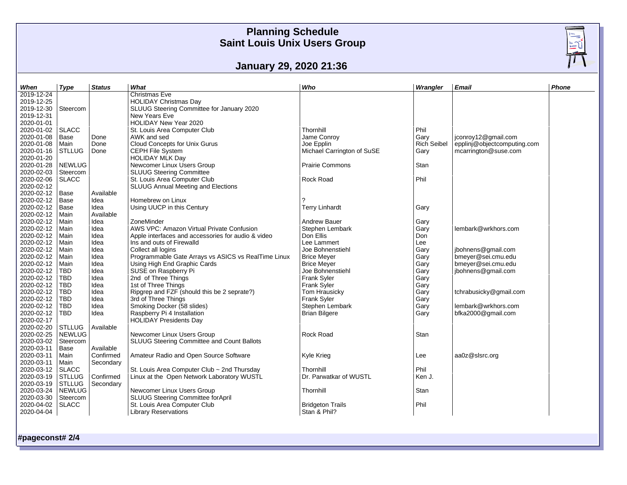### **January 29, 2020 21:36**

| When             | <b>Type</b>   | <b>Status</b> | What                                                | Who                        | Wrangler           | <b>Email</b>                | Phone |
|------------------|---------------|---------------|-----------------------------------------------------|----------------------------|--------------------|-----------------------------|-------|
| $2019 - 12 - 24$ |               |               | <b>Christmas Eve</b>                                |                            |                    |                             |       |
| 2019-12-25       |               |               | <b>HOLIDAY Christmas Day</b>                        |                            |                    |                             |       |
| 2019-12-30       | Steercom      |               | SLUUG Steering Committee for January 2020           |                            |                    |                             |       |
| 2019-12-31       |               |               | New Years Eve                                       |                            |                    |                             |       |
| 2020-01-01       |               |               | HOLIDAY New Year 2020                               |                            |                    |                             |       |
| 2020-01-02       | SLACC         |               | St. Louis Area Computer Club                        | Thornhill                  | Phil               |                             |       |
| 2020-01-08       | Base          | Done          | AWK and sed                                         | Jame Conroy                | Gary               | jconroy12@gmail.com         |       |
| 2020-01-08       | Main          | Done          | Cloud Concepts for Unix Gurus                       | Joe Epplin                 | <b>Rich Seibel</b> | epplinj@objectcomputing.com |       |
| 2020-01-16       | <b>STLLUG</b> | Done          | CEPH File System                                    | Michael Carrington of SuSE | Gary               | mcarrington@suse.com        |       |
| 2020-01-20       |               |               | <b>HOLIDAY MLK Day</b>                              |                            |                    |                             |       |
| 2020-01-28       | NEWLUG        |               | Newcomer Linux Users Group                          | <b>Prairie Commons</b>     | <b>Stan</b>        |                             |       |
| 2020-02-03       | Steercom      |               | <b>SLUUG Steering Committee</b>                     |                            |                    |                             |       |
| 2020-02-06       | <b>SLACC</b>  |               | St. Louis Area Computer Club                        | Rock Road                  | Phil               |                             |       |
| 2020-02-12       |               |               | <b>SLUUG Annual Meeting and Elections</b>           |                            |                    |                             |       |
| 2020-02-12       | Base          | Available     |                                                     |                            |                    |                             |       |
| 2020-02-12       | Base          | Idea          | Homebrew on Linux                                   |                            |                    |                             |       |
| 2020-02-12       | Base          | Idea          | Using UUCP in this Century                          | <b>Terry Linhardt</b>      | Gary               |                             |       |
| 2020-02-12       | Main          | Available     |                                                     |                            |                    |                             |       |
| 2020-02-12       | Main          | Idea          | ZoneMinder                                          | <b>Andrew Bauer</b>        | Gary               |                             |       |
| 2020-02-12       | Main          | Idea          | AWS VPC: Amazon Virtual Private Confusion           | Stephen Lembark            | Gary               | lembark@wrkhors.com         |       |
| 2020-02-12       | Main          | Idea          | Apple interfaces and accessories for audio & video  | Don Ellis                  | Don                |                             |       |
| 2020-02-12       | Main          | Idea          | Ins and outs of Firewalld                           | Lee Lammert                | Lee                |                             |       |
| 2020-02-12       | Main          | Idea          | Collect all logins                                  | Joe Bohnenstiehl           | Gary               | jbohnens@gmail.com          |       |
| 2020-02-12       | Main          | Idea          | Programmable Gate Arrays vs ASICS vs RealTime Linux | <b>Brice Meyer</b>         | Gary               | bmeyer@sei.cmu.edu          |       |
| 2020-02-12       |               | Idea          | Using High End Graphic Cards                        |                            |                    | bmeyer@sei.cmu.edu          |       |
| 2020-02-12       | Main          |               |                                                     | <b>Brice Meyer</b>         | Gary               |                             |       |
| 2020-02-12       | TBD.          | Idea          | SUSE on Raspberry Pi                                | Joe Bohnenstiehl           | Gary               | jbohnens@gmail.com          |       |
|                  | <b>TBD</b>    | Idea          | 2nd of Three Things                                 | Frank Syler                | Gary               |                             |       |
| 2020-02-12       | <b>TBD</b>    | Idea          | 1st of Three Things                                 | Frank Syler                | Gary               |                             |       |
| 2020-02-12       | <b>TBD</b>    | Idea          | Ripgrep and FZF (should this be 2 seprate?)         | Tom Hrausicky              | Gary               | tchrabusicky@gmail.com      |       |
| 2020-02-12       | <b>TBD</b>    | Idea          | 3rd of Three Things                                 | Frank Syler                | Gary               |                             |       |
| 2020-02-12       | <b>TBD</b>    | Idea          | Smoking Docker (58 slides)                          | Stephen Lembark            | Gary               | lembark@wrkhors.com         |       |
| 2020-02-12       | <b>TBD</b>    | Idea          | Raspberry Pi 4 Installation                         | <b>Brian Bilgere</b>       | Gary               | bfka2000@gmail.com          |       |
| 2020-02-17       |               |               | <b>HOLIDAY Presidents Day</b>                       |                            |                    |                             |       |
| 2020-02-20       | <b>STLLUG</b> | Available     |                                                     |                            |                    |                             |       |
| 2020-02-25       | NEWLUG        |               | Newcomer Linux Users Group                          | Rock Road                  | Stan               |                             |       |
| 2020-03-02       | Steercom      |               | SLUUG Steering Committee and Count Ballots          |                            |                    |                             |       |
| 2020-03-11       | Base          | Available     |                                                     |                            |                    |                             |       |
| 2020-03-11       | Main          | Confirmed     | Amateur Radio and Open Source Software              | Kyle Krieg                 | Lee                | aa0z@slsrc.org              |       |
| 2020-03-11       | Main          | Secondary     |                                                     |                            |                    |                             |       |
| 2020-03-12       | SLACC         |               | St. Louis Area Computer Club ~ 2nd Thursday         | Thornhill                  | Phil               |                             |       |
| 2020-03-19       | STLLUG        | Confirmed     | Linux at the Open Network Laboratory WUSTL          | Dr. Parwatkar of WUSTL     | Ken J.             |                             |       |
| 2020-03-19       | STLLUG        | Secondary     |                                                     |                            |                    |                             |       |
| 2020-03-24       | NEWLUG        |               | Newcomer Linux Users Group                          | Thornhill                  | Stan               |                             |       |
| 2020-03-30       | Steercom      |               | SLUUG Steering Committee forApril                   |                            |                    |                             |       |
| 2020-04-02       | SLACC         |               | St. Louis Area Computer Club                        | <b>Bridgeton Trails</b>    | Phil               |                             |       |
| 2020-04-04       |               |               | <b>Library Reservations</b>                         | Stan & Phil?               |                    |                             |       |

**#pageconst# 2/4**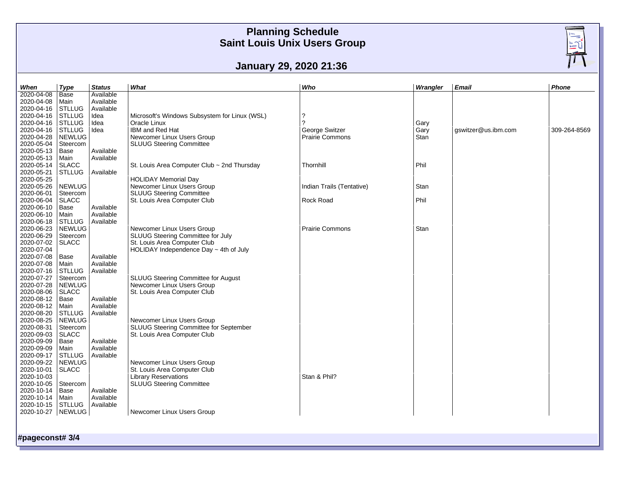### **January 29, 2020 21:36**

| 2020-04-08<br>Available<br>Base<br>2020-04-08   Main<br>Available<br>2020-04-16<br>Available<br><b>STLLUG</b><br>2020-04-16<br><b>STLLUG</b><br>Microsoft's Windows Subsystem for Linux (WSL)<br>?<br>Idea<br>$\mathcal{P}$<br>2020-04-16<br><b>STLLUG</b><br>Idea<br>Oracle Linux<br>Gary<br>2020-04-16 STLLUG<br>Idea<br>IBM and Red Hat<br>George Switzer<br>Gary<br>gswitzer@us.ibm.com<br>309-264-8569<br>2020-04-28<br><b>Prairie Commons</b><br>NEWLUG<br>Newcomer Linux Users Group<br>Stan<br>2020-05-04<br>SLUUG Steering Committee<br>Steercom<br>2020-05-13<br>Available<br>Base<br>2020-05-13<br>Available<br>Main<br>2020-05-14<br>St. Louis Area Computer Club ~ 2nd Thursday<br>Phil<br><b>SLACC</b><br>Thornhill<br>2020-05-21<br><b>STLLUG</b><br>Available<br>2020-05-25<br><b>HOLIDAY Memorial Day</b><br>2020-05-26<br>Newcomer Linux Users Group<br>NEWLUG<br>Indian Trails (Tentative)<br>Stan<br>2020-06-01<br><b>SLUUG Steering Committee</b><br>Steercom<br>2020-06-04<br>Phil<br>St. Louis Area Computer Club<br>Rock Road<br><b>SLACC</b><br>2020-06-10<br>Available<br>Base<br>2020-06-10<br>Main<br>Available<br>2020-06-18 STLLUG<br>Available<br>2020-06-23<br>NEWLUG<br>Newcomer Linux Users Group<br><b>Prairie Commons</b><br>Stan<br>2020-06-29<br>SLUUG Steering Committee for July<br>Steercom<br>2020-07-02<br>St. Louis Area Computer Club<br><b>SLACC</b><br>2020-07-04<br>HOLIDAY Independence Day $\sim$ 4th of July<br>2020-07-08<br>Available<br>Base<br>2020-07-08<br>Available<br>Main<br>2020-07-16 STLLUG<br>Available<br>2020-07-27<br>SLUUG Steering Committee for August<br>Steercom<br>2020-07-28<br>Newcomer Linux Users Group<br><b>NEWLUG</b><br>2020-08-06<br><b>SLACC</b><br>St. Louis Area Computer Club<br>2020-08-12<br>Available<br>Base<br>2020-08-12<br>Available<br>Main<br>2020-08-20<br><b>STLLUG</b><br>Available<br>2020-08-25<br>Newcomer Linux Users Group<br>NEWLUG<br>2020-08-31<br>SLUUG Steering Committee for September<br>Steercom<br>2020-09-03<br>St. Louis Area Computer Club<br><b>SLACC</b><br>2020-09-09<br>Base<br>Available<br>2020-09-09<br>Available<br>Main<br>2020-09-17<br>Available<br><b>STLLUG</b><br>2020-09-22<br><b>NEWLUG</b><br>Newcomer Linux Users Group<br>2020-10-01   SLACC<br>St. Louis Area Computer Club<br>2020-10-03<br><b>Library Reservations</b><br>Stan & Phil?<br>2020-10-05<br><b>SLUUG Steering Committee</b><br>Steercom<br>2020-10-14<br>Available<br>Base<br>Available<br>2020-10-14<br>Main<br>2020-10-15<br>Available<br><b>STLLUG</b><br>2020-10-27 NEWLUG<br>Newcomer Linux Users Group | When | <b>Type</b> | <b>Status</b> | What | Who | Wrangler | <b>Email</b> | Phone |
|-------------------------------------------------------------------------------------------------------------------------------------------------------------------------------------------------------------------------------------------------------------------------------------------------------------------------------------------------------------------------------------------------------------------------------------------------------------------------------------------------------------------------------------------------------------------------------------------------------------------------------------------------------------------------------------------------------------------------------------------------------------------------------------------------------------------------------------------------------------------------------------------------------------------------------------------------------------------------------------------------------------------------------------------------------------------------------------------------------------------------------------------------------------------------------------------------------------------------------------------------------------------------------------------------------------------------------------------------------------------------------------------------------------------------------------------------------------------------------------------------------------------------------------------------------------------------------------------------------------------------------------------------------------------------------------------------------------------------------------------------------------------------------------------------------------------------------------------------------------------------------------------------------------------------------------------------------------------------------------------------------------------------------------------------------------------------------------------------------------------------------------------------------------------------------------------------------------------------------------------------------------------------------------------------------------------------------------------------------------------------------------------------------------------------------------------------------------------------------------------------------------------------------------------------------------------------------------------------------------------|------|-------------|---------------|------|-----|----------|--------------|-------|
|                                                                                                                                                                                                                                                                                                                                                                                                                                                                                                                                                                                                                                                                                                                                                                                                                                                                                                                                                                                                                                                                                                                                                                                                                                                                                                                                                                                                                                                                                                                                                                                                                                                                                                                                                                                                                                                                                                                                                                                                                                                                                                                                                                                                                                                                                                                                                                                                                                                                                                                                                                                                                   |      |             |               |      |     |          |              |       |
|                                                                                                                                                                                                                                                                                                                                                                                                                                                                                                                                                                                                                                                                                                                                                                                                                                                                                                                                                                                                                                                                                                                                                                                                                                                                                                                                                                                                                                                                                                                                                                                                                                                                                                                                                                                                                                                                                                                                                                                                                                                                                                                                                                                                                                                                                                                                                                                                                                                                                                                                                                                                                   |      |             |               |      |     |          |              |       |
|                                                                                                                                                                                                                                                                                                                                                                                                                                                                                                                                                                                                                                                                                                                                                                                                                                                                                                                                                                                                                                                                                                                                                                                                                                                                                                                                                                                                                                                                                                                                                                                                                                                                                                                                                                                                                                                                                                                                                                                                                                                                                                                                                                                                                                                                                                                                                                                                                                                                                                                                                                                                                   |      |             |               |      |     |          |              |       |
|                                                                                                                                                                                                                                                                                                                                                                                                                                                                                                                                                                                                                                                                                                                                                                                                                                                                                                                                                                                                                                                                                                                                                                                                                                                                                                                                                                                                                                                                                                                                                                                                                                                                                                                                                                                                                                                                                                                                                                                                                                                                                                                                                                                                                                                                                                                                                                                                                                                                                                                                                                                                                   |      |             |               |      |     |          |              |       |
|                                                                                                                                                                                                                                                                                                                                                                                                                                                                                                                                                                                                                                                                                                                                                                                                                                                                                                                                                                                                                                                                                                                                                                                                                                                                                                                                                                                                                                                                                                                                                                                                                                                                                                                                                                                                                                                                                                                                                                                                                                                                                                                                                                                                                                                                                                                                                                                                                                                                                                                                                                                                                   |      |             |               |      |     |          |              |       |
|                                                                                                                                                                                                                                                                                                                                                                                                                                                                                                                                                                                                                                                                                                                                                                                                                                                                                                                                                                                                                                                                                                                                                                                                                                                                                                                                                                                                                                                                                                                                                                                                                                                                                                                                                                                                                                                                                                                                                                                                                                                                                                                                                                                                                                                                                                                                                                                                                                                                                                                                                                                                                   |      |             |               |      |     |          |              |       |
|                                                                                                                                                                                                                                                                                                                                                                                                                                                                                                                                                                                                                                                                                                                                                                                                                                                                                                                                                                                                                                                                                                                                                                                                                                                                                                                                                                                                                                                                                                                                                                                                                                                                                                                                                                                                                                                                                                                                                                                                                                                                                                                                                                                                                                                                                                                                                                                                                                                                                                                                                                                                                   |      |             |               |      |     |          |              |       |
|                                                                                                                                                                                                                                                                                                                                                                                                                                                                                                                                                                                                                                                                                                                                                                                                                                                                                                                                                                                                                                                                                                                                                                                                                                                                                                                                                                                                                                                                                                                                                                                                                                                                                                                                                                                                                                                                                                                                                                                                                                                                                                                                                                                                                                                                                                                                                                                                                                                                                                                                                                                                                   |      |             |               |      |     |          |              |       |
|                                                                                                                                                                                                                                                                                                                                                                                                                                                                                                                                                                                                                                                                                                                                                                                                                                                                                                                                                                                                                                                                                                                                                                                                                                                                                                                                                                                                                                                                                                                                                                                                                                                                                                                                                                                                                                                                                                                                                                                                                                                                                                                                                                                                                                                                                                                                                                                                                                                                                                                                                                                                                   |      |             |               |      |     |          |              |       |
|                                                                                                                                                                                                                                                                                                                                                                                                                                                                                                                                                                                                                                                                                                                                                                                                                                                                                                                                                                                                                                                                                                                                                                                                                                                                                                                                                                                                                                                                                                                                                                                                                                                                                                                                                                                                                                                                                                                                                                                                                                                                                                                                                                                                                                                                                                                                                                                                                                                                                                                                                                                                                   |      |             |               |      |     |          |              |       |
|                                                                                                                                                                                                                                                                                                                                                                                                                                                                                                                                                                                                                                                                                                                                                                                                                                                                                                                                                                                                                                                                                                                                                                                                                                                                                                                                                                                                                                                                                                                                                                                                                                                                                                                                                                                                                                                                                                                                                                                                                                                                                                                                                                                                                                                                                                                                                                                                                                                                                                                                                                                                                   |      |             |               |      |     |          |              |       |
|                                                                                                                                                                                                                                                                                                                                                                                                                                                                                                                                                                                                                                                                                                                                                                                                                                                                                                                                                                                                                                                                                                                                                                                                                                                                                                                                                                                                                                                                                                                                                                                                                                                                                                                                                                                                                                                                                                                                                                                                                                                                                                                                                                                                                                                                                                                                                                                                                                                                                                                                                                                                                   |      |             |               |      |     |          |              |       |
|                                                                                                                                                                                                                                                                                                                                                                                                                                                                                                                                                                                                                                                                                                                                                                                                                                                                                                                                                                                                                                                                                                                                                                                                                                                                                                                                                                                                                                                                                                                                                                                                                                                                                                                                                                                                                                                                                                                                                                                                                                                                                                                                                                                                                                                                                                                                                                                                                                                                                                                                                                                                                   |      |             |               |      |     |          |              |       |
|                                                                                                                                                                                                                                                                                                                                                                                                                                                                                                                                                                                                                                                                                                                                                                                                                                                                                                                                                                                                                                                                                                                                                                                                                                                                                                                                                                                                                                                                                                                                                                                                                                                                                                                                                                                                                                                                                                                                                                                                                                                                                                                                                                                                                                                                                                                                                                                                                                                                                                                                                                                                                   |      |             |               |      |     |          |              |       |
|                                                                                                                                                                                                                                                                                                                                                                                                                                                                                                                                                                                                                                                                                                                                                                                                                                                                                                                                                                                                                                                                                                                                                                                                                                                                                                                                                                                                                                                                                                                                                                                                                                                                                                                                                                                                                                                                                                                                                                                                                                                                                                                                                                                                                                                                                                                                                                                                                                                                                                                                                                                                                   |      |             |               |      |     |          |              |       |
|                                                                                                                                                                                                                                                                                                                                                                                                                                                                                                                                                                                                                                                                                                                                                                                                                                                                                                                                                                                                                                                                                                                                                                                                                                                                                                                                                                                                                                                                                                                                                                                                                                                                                                                                                                                                                                                                                                                                                                                                                                                                                                                                                                                                                                                                                                                                                                                                                                                                                                                                                                                                                   |      |             |               |      |     |          |              |       |
|                                                                                                                                                                                                                                                                                                                                                                                                                                                                                                                                                                                                                                                                                                                                                                                                                                                                                                                                                                                                                                                                                                                                                                                                                                                                                                                                                                                                                                                                                                                                                                                                                                                                                                                                                                                                                                                                                                                                                                                                                                                                                                                                                                                                                                                                                                                                                                                                                                                                                                                                                                                                                   |      |             |               |      |     |          |              |       |
|                                                                                                                                                                                                                                                                                                                                                                                                                                                                                                                                                                                                                                                                                                                                                                                                                                                                                                                                                                                                                                                                                                                                                                                                                                                                                                                                                                                                                                                                                                                                                                                                                                                                                                                                                                                                                                                                                                                                                                                                                                                                                                                                                                                                                                                                                                                                                                                                                                                                                                                                                                                                                   |      |             |               |      |     |          |              |       |
|                                                                                                                                                                                                                                                                                                                                                                                                                                                                                                                                                                                                                                                                                                                                                                                                                                                                                                                                                                                                                                                                                                                                                                                                                                                                                                                                                                                                                                                                                                                                                                                                                                                                                                                                                                                                                                                                                                                                                                                                                                                                                                                                                                                                                                                                                                                                                                                                                                                                                                                                                                                                                   |      |             |               |      |     |          |              |       |
|                                                                                                                                                                                                                                                                                                                                                                                                                                                                                                                                                                                                                                                                                                                                                                                                                                                                                                                                                                                                                                                                                                                                                                                                                                                                                                                                                                                                                                                                                                                                                                                                                                                                                                                                                                                                                                                                                                                                                                                                                                                                                                                                                                                                                                                                                                                                                                                                                                                                                                                                                                                                                   |      |             |               |      |     |          |              |       |
|                                                                                                                                                                                                                                                                                                                                                                                                                                                                                                                                                                                                                                                                                                                                                                                                                                                                                                                                                                                                                                                                                                                                                                                                                                                                                                                                                                                                                                                                                                                                                                                                                                                                                                                                                                                                                                                                                                                                                                                                                                                                                                                                                                                                                                                                                                                                                                                                                                                                                                                                                                                                                   |      |             |               |      |     |          |              |       |
|                                                                                                                                                                                                                                                                                                                                                                                                                                                                                                                                                                                                                                                                                                                                                                                                                                                                                                                                                                                                                                                                                                                                                                                                                                                                                                                                                                                                                                                                                                                                                                                                                                                                                                                                                                                                                                                                                                                                                                                                                                                                                                                                                                                                                                                                                                                                                                                                                                                                                                                                                                                                                   |      |             |               |      |     |          |              |       |
|                                                                                                                                                                                                                                                                                                                                                                                                                                                                                                                                                                                                                                                                                                                                                                                                                                                                                                                                                                                                                                                                                                                                                                                                                                                                                                                                                                                                                                                                                                                                                                                                                                                                                                                                                                                                                                                                                                                                                                                                                                                                                                                                                                                                                                                                                                                                                                                                                                                                                                                                                                                                                   |      |             |               |      |     |          |              |       |
|                                                                                                                                                                                                                                                                                                                                                                                                                                                                                                                                                                                                                                                                                                                                                                                                                                                                                                                                                                                                                                                                                                                                                                                                                                                                                                                                                                                                                                                                                                                                                                                                                                                                                                                                                                                                                                                                                                                                                                                                                                                                                                                                                                                                                                                                                                                                                                                                                                                                                                                                                                                                                   |      |             |               |      |     |          |              |       |
|                                                                                                                                                                                                                                                                                                                                                                                                                                                                                                                                                                                                                                                                                                                                                                                                                                                                                                                                                                                                                                                                                                                                                                                                                                                                                                                                                                                                                                                                                                                                                                                                                                                                                                                                                                                                                                                                                                                                                                                                                                                                                                                                                                                                                                                                                                                                                                                                                                                                                                                                                                                                                   |      |             |               |      |     |          |              |       |
|                                                                                                                                                                                                                                                                                                                                                                                                                                                                                                                                                                                                                                                                                                                                                                                                                                                                                                                                                                                                                                                                                                                                                                                                                                                                                                                                                                                                                                                                                                                                                                                                                                                                                                                                                                                                                                                                                                                                                                                                                                                                                                                                                                                                                                                                                                                                                                                                                                                                                                                                                                                                                   |      |             |               |      |     |          |              |       |
|                                                                                                                                                                                                                                                                                                                                                                                                                                                                                                                                                                                                                                                                                                                                                                                                                                                                                                                                                                                                                                                                                                                                                                                                                                                                                                                                                                                                                                                                                                                                                                                                                                                                                                                                                                                                                                                                                                                                                                                                                                                                                                                                                                                                                                                                                                                                                                                                                                                                                                                                                                                                                   |      |             |               |      |     |          |              |       |
|                                                                                                                                                                                                                                                                                                                                                                                                                                                                                                                                                                                                                                                                                                                                                                                                                                                                                                                                                                                                                                                                                                                                                                                                                                                                                                                                                                                                                                                                                                                                                                                                                                                                                                                                                                                                                                                                                                                                                                                                                                                                                                                                                                                                                                                                                                                                                                                                                                                                                                                                                                                                                   |      |             |               |      |     |          |              |       |
|                                                                                                                                                                                                                                                                                                                                                                                                                                                                                                                                                                                                                                                                                                                                                                                                                                                                                                                                                                                                                                                                                                                                                                                                                                                                                                                                                                                                                                                                                                                                                                                                                                                                                                                                                                                                                                                                                                                                                                                                                                                                                                                                                                                                                                                                                                                                                                                                                                                                                                                                                                                                                   |      |             |               |      |     |          |              |       |
|                                                                                                                                                                                                                                                                                                                                                                                                                                                                                                                                                                                                                                                                                                                                                                                                                                                                                                                                                                                                                                                                                                                                                                                                                                                                                                                                                                                                                                                                                                                                                                                                                                                                                                                                                                                                                                                                                                                                                                                                                                                                                                                                                                                                                                                                                                                                                                                                                                                                                                                                                                                                                   |      |             |               |      |     |          |              |       |
|                                                                                                                                                                                                                                                                                                                                                                                                                                                                                                                                                                                                                                                                                                                                                                                                                                                                                                                                                                                                                                                                                                                                                                                                                                                                                                                                                                                                                                                                                                                                                                                                                                                                                                                                                                                                                                                                                                                                                                                                                                                                                                                                                                                                                                                                                                                                                                                                                                                                                                                                                                                                                   |      |             |               |      |     |          |              |       |
|                                                                                                                                                                                                                                                                                                                                                                                                                                                                                                                                                                                                                                                                                                                                                                                                                                                                                                                                                                                                                                                                                                                                                                                                                                                                                                                                                                                                                                                                                                                                                                                                                                                                                                                                                                                                                                                                                                                                                                                                                                                                                                                                                                                                                                                                                                                                                                                                                                                                                                                                                                                                                   |      |             |               |      |     |          |              |       |
|                                                                                                                                                                                                                                                                                                                                                                                                                                                                                                                                                                                                                                                                                                                                                                                                                                                                                                                                                                                                                                                                                                                                                                                                                                                                                                                                                                                                                                                                                                                                                                                                                                                                                                                                                                                                                                                                                                                                                                                                                                                                                                                                                                                                                                                                                                                                                                                                                                                                                                                                                                                                                   |      |             |               |      |     |          |              |       |
|                                                                                                                                                                                                                                                                                                                                                                                                                                                                                                                                                                                                                                                                                                                                                                                                                                                                                                                                                                                                                                                                                                                                                                                                                                                                                                                                                                                                                                                                                                                                                                                                                                                                                                                                                                                                                                                                                                                                                                                                                                                                                                                                                                                                                                                                                                                                                                                                                                                                                                                                                                                                                   |      |             |               |      |     |          |              |       |
|                                                                                                                                                                                                                                                                                                                                                                                                                                                                                                                                                                                                                                                                                                                                                                                                                                                                                                                                                                                                                                                                                                                                                                                                                                                                                                                                                                                                                                                                                                                                                                                                                                                                                                                                                                                                                                                                                                                                                                                                                                                                                                                                                                                                                                                                                                                                                                                                                                                                                                                                                                                                                   |      |             |               |      |     |          |              |       |
|                                                                                                                                                                                                                                                                                                                                                                                                                                                                                                                                                                                                                                                                                                                                                                                                                                                                                                                                                                                                                                                                                                                                                                                                                                                                                                                                                                                                                                                                                                                                                                                                                                                                                                                                                                                                                                                                                                                                                                                                                                                                                                                                                                                                                                                                                                                                                                                                                                                                                                                                                                                                                   |      |             |               |      |     |          |              |       |
|                                                                                                                                                                                                                                                                                                                                                                                                                                                                                                                                                                                                                                                                                                                                                                                                                                                                                                                                                                                                                                                                                                                                                                                                                                                                                                                                                                                                                                                                                                                                                                                                                                                                                                                                                                                                                                                                                                                                                                                                                                                                                                                                                                                                                                                                                                                                                                                                                                                                                                                                                                                                                   |      |             |               |      |     |          |              |       |
|                                                                                                                                                                                                                                                                                                                                                                                                                                                                                                                                                                                                                                                                                                                                                                                                                                                                                                                                                                                                                                                                                                                                                                                                                                                                                                                                                                                                                                                                                                                                                                                                                                                                                                                                                                                                                                                                                                                                                                                                                                                                                                                                                                                                                                                                                                                                                                                                                                                                                                                                                                                                                   |      |             |               |      |     |          |              |       |
|                                                                                                                                                                                                                                                                                                                                                                                                                                                                                                                                                                                                                                                                                                                                                                                                                                                                                                                                                                                                                                                                                                                                                                                                                                                                                                                                                                                                                                                                                                                                                                                                                                                                                                                                                                                                                                                                                                                                                                                                                                                                                                                                                                                                                                                                                                                                                                                                                                                                                                                                                                                                                   |      |             |               |      |     |          |              |       |
|                                                                                                                                                                                                                                                                                                                                                                                                                                                                                                                                                                                                                                                                                                                                                                                                                                                                                                                                                                                                                                                                                                                                                                                                                                                                                                                                                                                                                                                                                                                                                                                                                                                                                                                                                                                                                                                                                                                                                                                                                                                                                                                                                                                                                                                                                                                                                                                                                                                                                                                                                                                                                   |      |             |               |      |     |          |              |       |
|                                                                                                                                                                                                                                                                                                                                                                                                                                                                                                                                                                                                                                                                                                                                                                                                                                                                                                                                                                                                                                                                                                                                                                                                                                                                                                                                                                                                                                                                                                                                                                                                                                                                                                                                                                                                                                                                                                                                                                                                                                                                                                                                                                                                                                                                                                                                                                                                                                                                                                                                                                                                                   |      |             |               |      |     |          |              |       |
|                                                                                                                                                                                                                                                                                                                                                                                                                                                                                                                                                                                                                                                                                                                                                                                                                                                                                                                                                                                                                                                                                                                                                                                                                                                                                                                                                                                                                                                                                                                                                                                                                                                                                                                                                                                                                                                                                                                                                                                                                                                                                                                                                                                                                                                                                                                                                                                                                                                                                                                                                                                                                   |      |             |               |      |     |          |              |       |
|                                                                                                                                                                                                                                                                                                                                                                                                                                                                                                                                                                                                                                                                                                                                                                                                                                                                                                                                                                                                                                                                                                                                                                                                                                                                                                                                                                                                                                                                                                                                                                                                                                                                                                                                                                                                                                                                                                                                                                                                                                                                                                                                                                                                                                                                                                                                                                                                                                                                                                                                                                                                                   |      |             |               |      |     |          |              |       |
|                                                                                                                                                                                                                                                                                                                                                                                                                                                                                                                                                                                                                                                                                                                                                                                                                                                                                                                                                                                                                                                                                                                                                                                                                                                                                                                                                                                                                                                                                                                                                                                                                                                                                                                                                                                                                                                                                                                                                                                                                                                                                                                                                                                                                                                                                                                                                                                                                                                                                                                                                                                                                   |      |             |               |      |     |          |              |       |
|                                                                                                                                                                                                                                                                                                                                                                                                                                                                                                                                                                                                                                                                                                                                                                                                                                                                                                                                                                                                                                                                                                                                                                                                                                                                                                                                                                                                                                                                                                                                                                                                                                                                                                                                                                                                                                                                                                                                                                                                                                                                                                                                                                                                                                                                                                                                                                                                                                                                                                                                                                                                                   |      |             |               |      |     |          |              |       |
|                                                                                                                                                                                                                                                                                                                                                                                                                                                                                                                                                                                                                                                                                                                                                                                                                                                                                                                                                                                                                                                                                                                                                                                                                                                                                                                                                                                                                                                                                                                                                                                                                                                                                                                                                                                                                                                                                                                                                                                                                                                                                                                                                                                                                                                                                                                                                                                                                                                                                                                                                                                                                   |      |             |               |      |     |          |              |       |
|                                                                                                                                                                                                                                                                                                                                                                                                                                                                                                                                                                                                                                                                                                                                                                                                                                                                                                                                                                                                                                                                                                                                                                                                                                                                                                                                                                                                                                                                                                                                                                                                                                                                                                                                                                                                                                                                                                                                                                                                                                                                                                                                                                                                                                                                                                                                                                                                                                                                                                                                                                                                                   |      |             |               |      |     |          |              |       |

**#pageconst# 3/4**